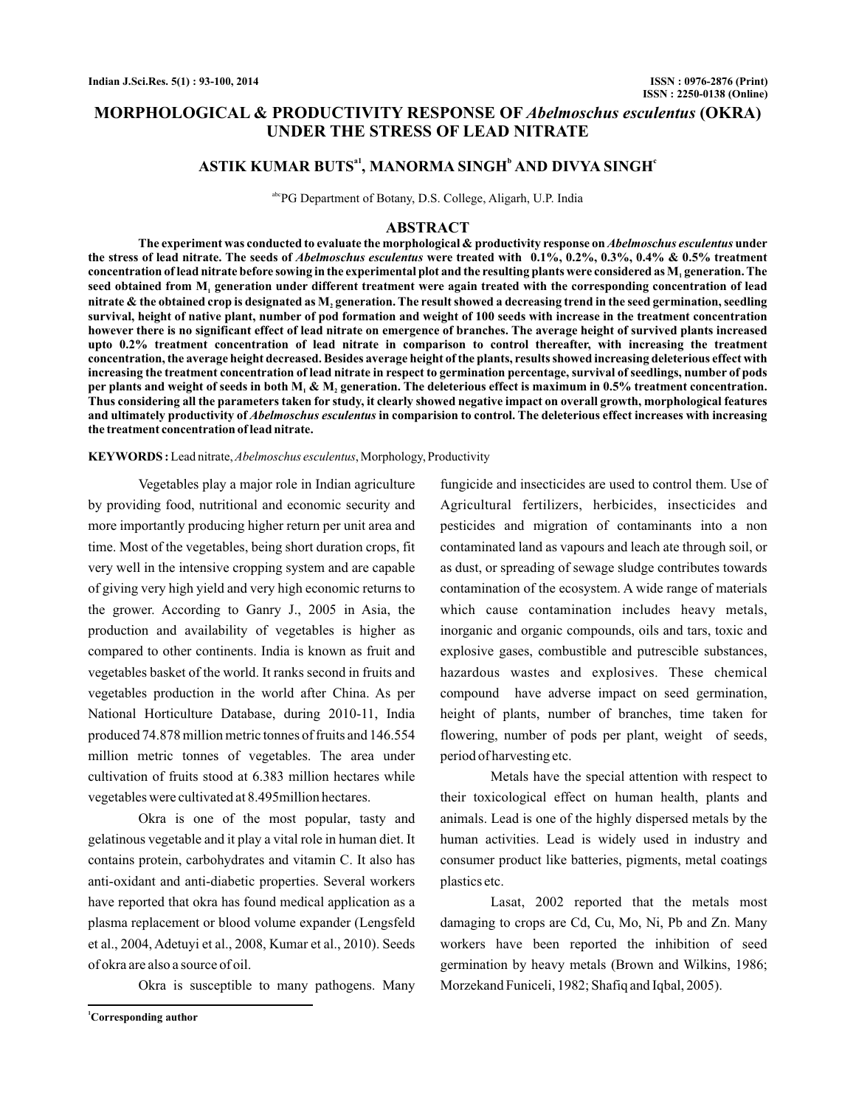# **MORPHOLOGICAL & PRODUCTIVITY RESPONSE OF Abelmoschus esculentus (OKRA) UNDER THE STRESS OF LEAD NITRATE**

# $ASTIK KUMAR BUTS<sup>a1</sup>$ , MANORMA SINGH<sup>b</sup> AND DIVYA SINGH<sup>e</sup>

abcPG Department of Botany, D.S. College, Aligarh, U.P. India

#### **ABSTRACT**

The experiment was conducted to evaluate the morphological & productivity response on *Abelmoschus esculentus* under the stress of lead nitrate. The seeds of *Abelmoschus esculentus* were treated with 0.1%, 0.2%, 0.3%, 0.4% & 0.5% treatment concentration of lead nitrate before sowing in the experimental plot and the resulting plants were considered as M, generation. The seed obtained from  $\mathbf{M}_{\text{\tiny I}}$  generation under different treatment were again treated with the corresponding concentration of lead nitrate  $\bm{\&}$  the obtained crop is designated as  $\mathbf{M}_2$  generation. The result showed a decreasing trend in the seed germination, seedling **survival, height of native plant, number of pod formation and weight of 100 seeds with increase in the treatment concentration however there is no significant effect of lead nitrate on emergence of branches. The average height of survived plants increased upto 0.2% treatment concentration of lead nitrate in comparison to control thereafter, with increasing the treatment concentration, the average height decreased. Besides average height of the plants, results showed increasing deleterious effect with increasing the treatment concentration of lead nitrate in respect to germination percentage, survival of seedlings, number of pods** per plants and weight of seeds in both M, & M, generation. The deleterious effect is maximum in 0.5% treatment concentration. **Thus considering all the parameters taken for study, it clearly showed negative impact on overall growth, morphological features** and ultimately productivity of *Abelmoschus esculentus* in comparision to control. The deleterious effect increases with increasing **the treatment concentration of lead nitrate.**

KEYWORDS: Lead nitrate, *Abelmoschus esculentus*, Morphology, Productivity

Vegetables play a major role in Indian agriculture by providing food, nutritional and economic security and more importantly producing higher return per unit area and time. Most of the vegetables, being short duration crops, fit very well in the intensive cropping system and are capable of giving very high yield and very high economic returns to the grower. According to Ganry J., 2005 in Asia, the production and availability of vegetables is higher as compared to other continents. India is known as fruit and vegetables basket of the world. It ranks second in fruits and vegetables production in the world after China. As per National Horticulture Database, during 2010-11, India produced 74.878 million metric tonnes of fruits and 146.554 million metric tonnes of vegetables. The area under cultivation of fruits stood at 6.383 million hectares while vegetables were cultivated at 8.495million hectares.

Okra is one of the most popular, tasty and gelatinous vegetable and it play a vital role in human diet. It contains protein, carbohydrates and vitamin C. It also has anti-oxidant and anti-diabetic properties. Several workers have reported that okra has found medical application as a plasma replacement or blood volume expander (Lengsfeld et al., 2004, Adetuyi et al., 2008, Kumar et al., 2010). Seeds of okra are also a source of oil.

Okra is susceptible to many pathogens. Many

**<sup>1</sup>Corresponding author**

fungicide and insecticides are used to control them. Use of Agricultural fertilizers, herbicides, insecticides and pesticides and migration of contaminants into a non contaminated land as vapours and leach ate through soil, or as dust, or spreading of sewage sludge contributes towards contamination of the ecosystem. A wide range of materials which cause contamination includes heavy metals, inorganic and organic compounds, oils and tars, toxic and explosive gases, combustible and putrescible substances, hazardous wastes and explosives. These chemical compound have adverse impact on seed germination, height of plants, number of branches, time taken for flowering, number of pods per plant, weight of seeds, period of harvesting etc.

Metals have the special attention with respect to their toxicological effect on human health, plants and animals. Lead is one of the highly dispersed metals by the human activities. Lead is widely used in industry and consumer product like batteries, pigments, metal coatings plastics etc.

Lasat, 2002 reported that the metals most damaging to crops are Cd, Cu, Mo, Ni, Pb and Zn. Many workers have been reported the inhibition of seed germination by heavy metals (Brown and Wilkins, 1986; Morzekand Funiceli, 1982; Shafiq and Iqbal, 2005).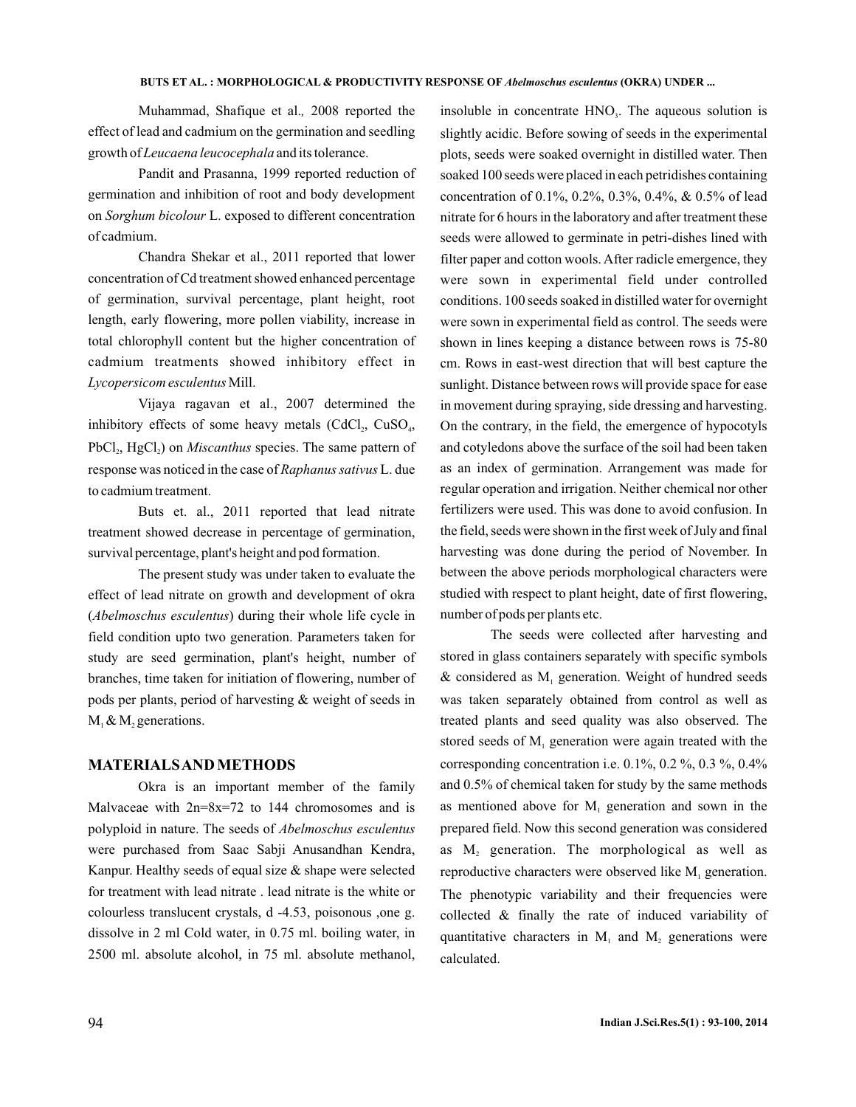#### **BUTS ET AL. : MORPHOLOGICAL & PRODUCTIVITY RESPONSE OF Abelmoschus esculentus (OKRA) UNDER ...**

Muhammad, Shafique et al., 2008 reported the effect of lead and cadmium on the germination and seedling growth of Leucaena leucocephala and its tolerance.

Pandit and Prasanna, 1999 reported reduction of germination and inhibition of root and body development on Sorghum bicolour L. exposed to different concentration of cadmium.

Chandra Shekar et al., 2011 reported that lower concentration of Cd treatment showed enhanced percentage of germination, survival percentage, plant height, root length, early flowering, more pollen viability, increase in total chlorophyll content but the higher concentration of cadmium treatments showed inhibitory effect in Lycopersicom esculentus Mill.

Vijaya ragavan et al., 2007 determined the inhibitory effects of some heavy metals  $(CdCl<sub>2</sub>, CuSO<sub>4</sub>,$ PbCl<sub>2</sub>, HgCl<sub>2</sub>) on *Miscanthus* species. The same pattern of response was noticed in the case of Raphanus sativus L. due to cadmium treatment.

Buts et. al., 2011 reported that lead nitrate treatment showed decrease in percentage of germination, survival percentage, plant's height and pod formation.

The present study was under taken to evaluate the effect of lead nitrate on growth and development of okra (Abelmoschus esculentus) during their whole life cycle in field condition upto two generation. Parameters taken for study are seed germination, plant's height, number of branches, time taken for initiation of flowering, number of pods per plants, period of harvesting & weight of seeds in  $M_1 \& M_2$  generations.

## **MATERIALSAND METHODS**

Okra is an important member of the family Malvaceae with  $2n=8x=72$  to 144 chromosomes and is polyploid in nature. The seeds of *Abelmoschus esculentus* were purchased from Saac Sabji Anusandhan Kendra, Kanpur. Healthy seeds of equal size & shape were selected for treatment with lead nitrate . lead nitrate is the white or colourless translucent crystals, d -4.53, poisonous ,one g. dissolve in 2 ml Cold water, in 0.75 ml. boiling water, in 2500 ml. absolute alcohol, in 75 ml. absolute methanol,

insoluble in concentrate  $HNO<sub>3</sub>$ . The aqueous solution is slightly acidic. Before sowing of seeds in the experimental plots, seeds were soaked overnight in distilled water. Then soaked 100 seeds were placed in each petridishes containing concentration of 0.1%, 0.2%, 0.3%, 0.4%, & 0.5% of lead nitrate for 6 hours in the laboratory and after treatment these seeds were allowed to germinate in petri-dishes lined with filter paper and cotton wools. After radicle emergence, they were sown in experimental field under controlled conditions. 100 seeds soaked in distilled water for overnight were sown in experimental field as control. The seeds were shown in lines keeping a distance between rows is 75-80 cm. Rows in east-west direction that will best capture the sunlight. Distance between rows will provide space for ease in movement during spraying, side dressing and harvesting. On the contrary, in the field, the emergence of hypocotyls and cotyledons above the surface of the soil had been taken as an index of germination. Arrangement was made for regular operation and irrigation. Neither chemical nor other fertilizers were used. This was done to avoid confusion. In the field, seeds were shown in the first week of July and final harvesting was done during the period of November. In between the above periods morphological characters were studied with respect to plant height, date of first flowering, number of pods per plants etc.

The seeds were collected after harvesting and stored in glass containers separately with specific symbols  $\&$  considered as  $M<sub>1</sub>$  generation. Weight of hundred seeds was taken separately obtained from control as well as treated plants and seed quality was also observed. The stored seeds of  $M<sub>1</sub>$  generation were again treated with the corresponding concentration i.e.  $0.1\%$ ,  $0.2\%$ ,  $0.3\%$ ,  $0.4\%$ and 0.5% of chemical taken for study by the same methods as mentioned above for  $M<sub>1</sub>$  generation and sown in the prepared field. Now this second generation was considered as  $M_2$  generation. The morphological as well as reproductive characters were observed like  $M<sub>1</sub>$  generation. The phenotypic variability and their frequencies were collected & finally the rate of induced variability of quantitative characters in  $M<sub>1</sub>$  and  $M<sub>2</sub>$  generations were calculated.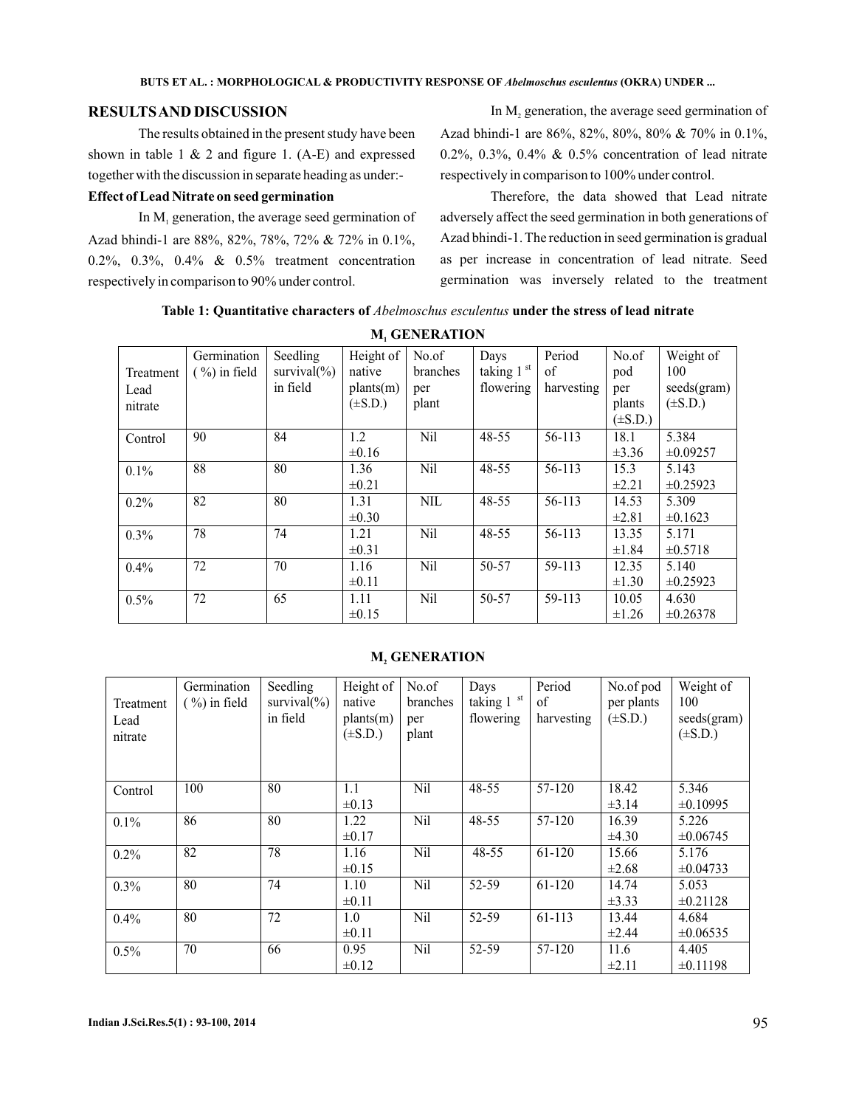# **RESULTSAND DISCUSSION**

The results obtained in the present study have been shown in table 1  $&$  2 and figure 1. (A-E) and expressed together with the discussion in separate heading as under:-

#### **Effect of Lead Nitrate on seed germination**

In  $M<sub>1</sub>$  generation, the average seed germination of Azad bhindi-1 are 88%, 82%, 78%, 72% & 72% in 0.1%, 0.2%, 0.3%, 0.4% & 0.5% treatment concentration respectively in comparison to 90% under control.

In  $M_2$  generation, the average seed germination of Azad bhindi-1 are 86%, 82%, 80%, 80% & 70% in 0.1%, 0.2%, 0.3%, 0.4% & 0.5% concentration of lead nitrate respectively in comparison to 100% under control.

Therefore, the data showed that Lead nitrate adversely affect the seed germination in both generations of Azad bhindi-1. The reduction in seed germination is gradual as per increase in concentration of lead nitrate. Seed germination was inversely related to the treatment

Table 1: Quantitative characters of *Abelmoschus esculentus* under the stress of lead nitrate

| Treatment<br>Lead<br>nitrate | Germination<br>$(\frac{9}{0})$ in field | Seedling<br>survival $(\% )$<br>in field | Height of<br>native<br>plants(m)<br>$(\pm S.D.)$ | No.of<br>branches<br>per<br>plant | Days<br>taking 1 <sup>st</sup><br>flowering | Period<br>of<br>harvesting | No.of<br>pod<br>per<br>plants<br>$(\pm S.D.)$ | Weight of<br>100<br>seeds(gram)<br>$(\pm S.D.)$ |
|------------------------------|-----------------------------------------|------------------------------------------|--------------------------------------------------|-----------------------------------|---------------------------------------------|----------------------------|-----------------------------------------------|-------------------------------------------------|
| Control                      | 90                                      | 84                                       | 1.2<br>$\pm 0.16$                                | Nil                               | 48-55                                       | 56-113                     | 18.1<br>$\pm 3.36$                            | 5.384<br>$\pm 0.09257$                          |
| 0.1%                         | 88                                      | 80                                       | 1.36<br>$\pm 0.21$                               | <b>Nil</b>                        | 48-55                                       | 56-113                     | 15.3<br>$\pm 2.21$                            | 5.143<br>$\pm 0.25923$                          |
| 0.2%                         | 82                                      | 80                                       | 1.31<br>$\pm 0.30$                               | <b>NIL</b>                        | 48-55                                       | 56-113                     | 14.53<br>$\pm 2.81$                           | 5.309<br>$\pm 0.1623$                           |
| 0.3%                         | 78                                      | 74                                       | 1.21<br>$\pm 0.31$                               | N <sub>il</sub>                   | 48-55                                       | 56-113                     | 13.35<br>$\pm 1.84$                           | 5.171<br>$\pm 0.5718$                           |
| 0.4%                         | 72                                      | 70                                       | 1.16<br>$\pm 0.11$                               | <b>Nil</b>                        | 50-57                                       | 59-113                     | 12.35<br>$\pm 1.30$                           | 5.140<br>$\pm 0.25923$                          |
| 0.5%                         | 72                                      | 65                                       | 1.11<br>$\pm 0.15$                               | <b>Nil</b>                        | 50-57                                       | 59-113                     | 10.05<br>$\pm 1.26$                           | 4.630<br>$\pm 0.26378$                          |

**M<sub>1</sub>** GENERATION

| Treatment<br>Lead<br>nitrate | Germination<br>$(\frac{9}{0})$ in field | Seedling<br>survival $(\%)$<br>in field | Height of<br>native<br>plants(m)<br>$(\pm S.D.)$ | No.of<br>branches<br>per<br>plant | Days<br>taking 1 st<br>flowering | Period<br>of<br>harvesting | No.of pod<br>per plants<br>$(\pm S.D.)$ | Weight of<br>100<br>seeds(gram)<br>$(\pm S.D.)$ |
|------------------------------|-----------------------------------------|-----------------------------------------|--------------------------------------------------|-----------------------------------|----------------------------------|----------------------------|-----------------------------------------|-------------------------------------------------|
| Control                      | 100                                     | 80                                      | 1.1                                              | Nil                               | 48-55                            | 57-120                     | 18.42                                   | 5.346                                           |
|                              |                                         |                                         | $\pm 0.13$                                       |                                   |                                  |                            | $\pm 3.14$                              | $\pm 0.10995$                                   |
| $0.1\%$                      | 86                                      | 80                                      | 1.22                                             | Nil                               | 48-55                            | 57-120                     | 16.39                                   | 5.226                                           |
|                              |                                         |                                         | $\pm 0.17$                                       |                                   |                                  |                            | $\pm 4.30$                              | $\pm 0.06745$                                   |
| $0.2\%$                      | 82                                      | 78                                      | 1.16                                             | Nil                               | 48-55                            | 61-120                     | 15.66                                   | 5.176                                           |
|                              |                                         |                                         | $\pm 0.15$                                       |                                   |                                  |                            | $\pm 2.68$                              | $\pm 0.04733$                                   |
| $0.3\%$                      | 80                                      | 74                                      | 1.10                                             | Nil                               | 52-59                            | 61-120                     | 14.74                                   | 5.053                                           |
|                              |                                         |                                         | $\pm 0.11$                                       |                                   |                                  |                            | $\pm 3.33$                              | $\pm 0.21128$                                   |
| $0.4\%$                      | 80                                      | 72                                      | 1.0                                              | Nil                               | 52-59                            | 61-113                     | 13.44                                   | 4.684                                           |
|                              |                                         |                                         | $\pm 0.11$                                       |                                   |                                  |                            | $\pm 2.44$                              | $\pm 0.06535$                                   |
| 0.5%                         | 70                                      | 66                                      | 0.95                                             | Nil                               | 52-59                            | 57-120                     | 11.6                                    | 4.405                                           |
|                              |                                         |                                         | $\pm 0.12$                                       |                                   |                                  |                            | $\pm 2.11$                              | $\pm 0.11198$                                   |

#### **M<sub>2</sub> GENERATION**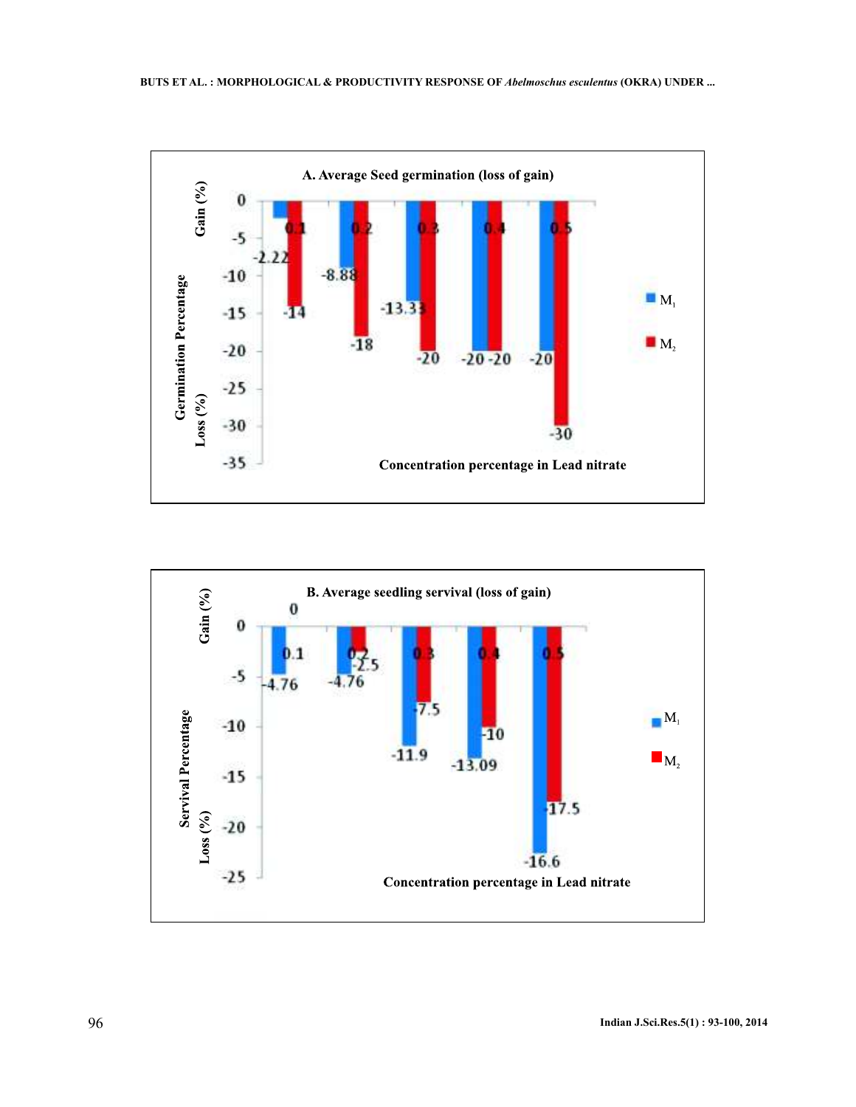

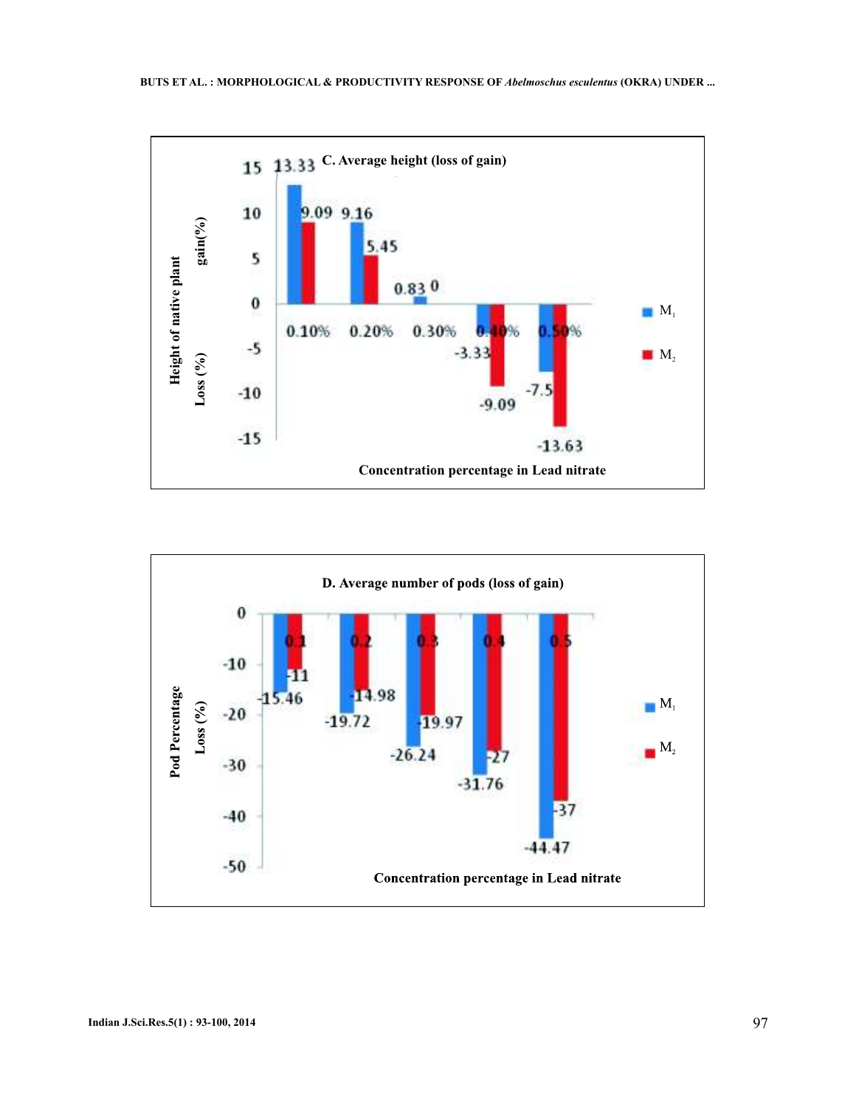

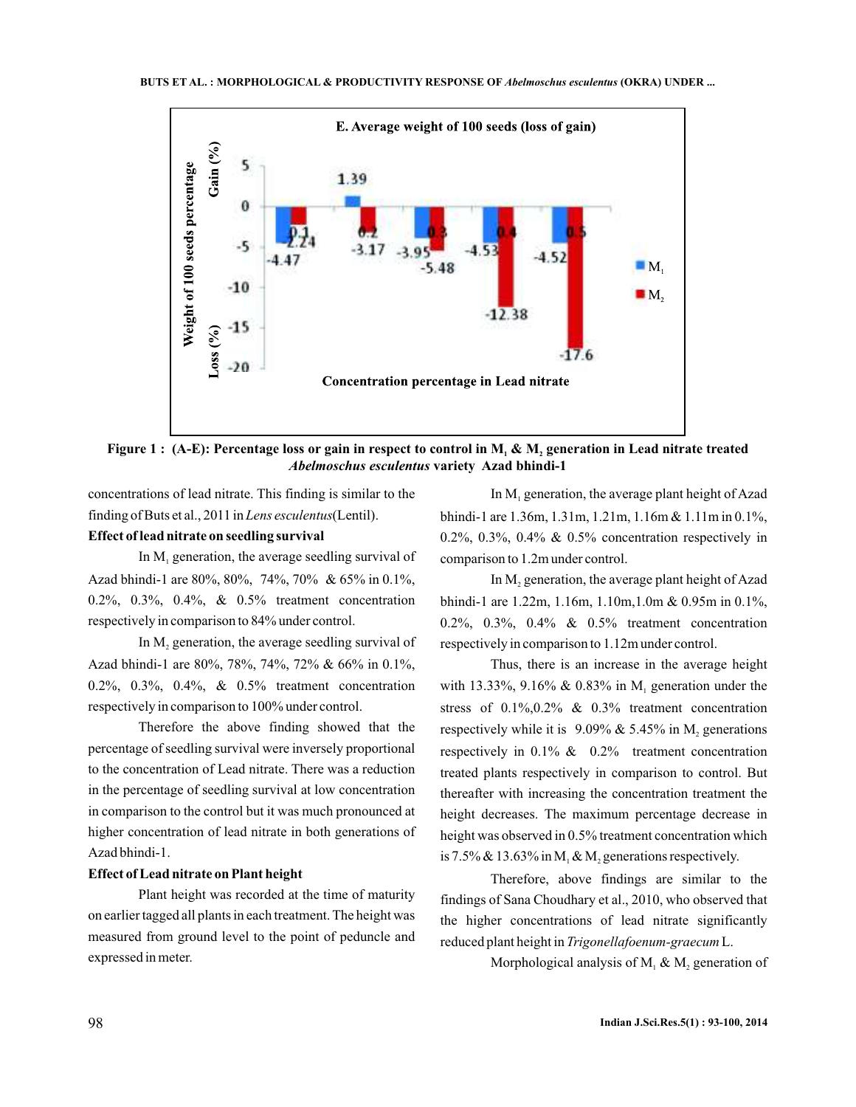

Figure 1 : (A-E): Percentage loss or gain in respect to control in  $\mathbf{M}_1$  &  $\mathbf{M}_2$  generation in Lead nitrate treated **variety Azad bhindi-1** *Abelmoschus esculentus*

concentrations of lead nitrate. This finding is similar to the finding of Buts et al., 2011 in Lens esculentus(Lentil).

# **Effect of lead nitrate on seedling survival**

In  $M<sub>1</sub>$  generation, the average seedling survival of Azad bhindi-1 are 80%, 80%, 74%, 70% & 65% in 0.1%, 0.2%, 0.3%, 0.4%, & 0.5% treatment concentration respectively in comparison to 84% under control.

In  $M_2$  generation, the average seedling survival of Azad bhindi-1 are 80%, 78%, 74%, 72% & 66% in 0.1%, 0.2%, 0.3%, 0.4%, & 0.5% treatment concentration respectively in comparison to 100% under control.

Therefore the above finding showed that the percentage of seedling survival were inversely proportional to the concentration of Lead nitrate. There was a reduction in the percentage of seedling survival at low concentration in comparison to the control but it was much pronounced at higher concentration of lead nitrate in both generations of Azad bhindi-1.

#### **Effect of Lead nitrate on Plant height**

Plant height was recorded at the time of maturity on earlier tagged all plants in each treatment. The height was measured from ground level to the point of peduncle and expressed in meter.

In  $M<sub>1</sub>$  generation, the average plant height of Azad bhindi-1 are 1.36m, 1.31m, 1.21m, 1.16m & 1.11m in 0.1%, 0.2%, 0.3%, 0.4% & 0.5% concentration respectively in comparison to 1.2m under control.

In  $M_2$  generation, the average plant height of Azad bhindi-1 are 1.22m, 1.16m, 1.10m,1.0m & 0.95m in 0.1%, 0.2%, 0.3%, 0.4% & 0.5% treatment concentration respectively in comparison to 1.12m under control.

Thus, there is an increase in the average height with 13.33%, 9.16% & 0.83% in  $M_1$  generation under the stress of  $0.1\%, 0.2\%$  &  $0.3\%$  treatment concentration respectively while it is  $9.09\% \& 5.45\%$  in M<sub>2</sub> generations respectively in 0.1% & 0.2% treatment concentration treated plants respectively in comparison to control. But thereafter with increasing the concentration treatment the height decreases. The maximum percentage decrease in height was observed in 0.5% treatment concentration which is 7.5% & 13.63% in  $M_1 \& M_2$  generations respectively.

Therefore, above findings are similar to the findings of Sana Choudhary et al., 2010, who observed that the higher concentrations of lead nitrate significantly reduced plant height in Trigonellafoenum-graecum L.

Morphological analysis of  $M_1$  &  $M_2$  generation of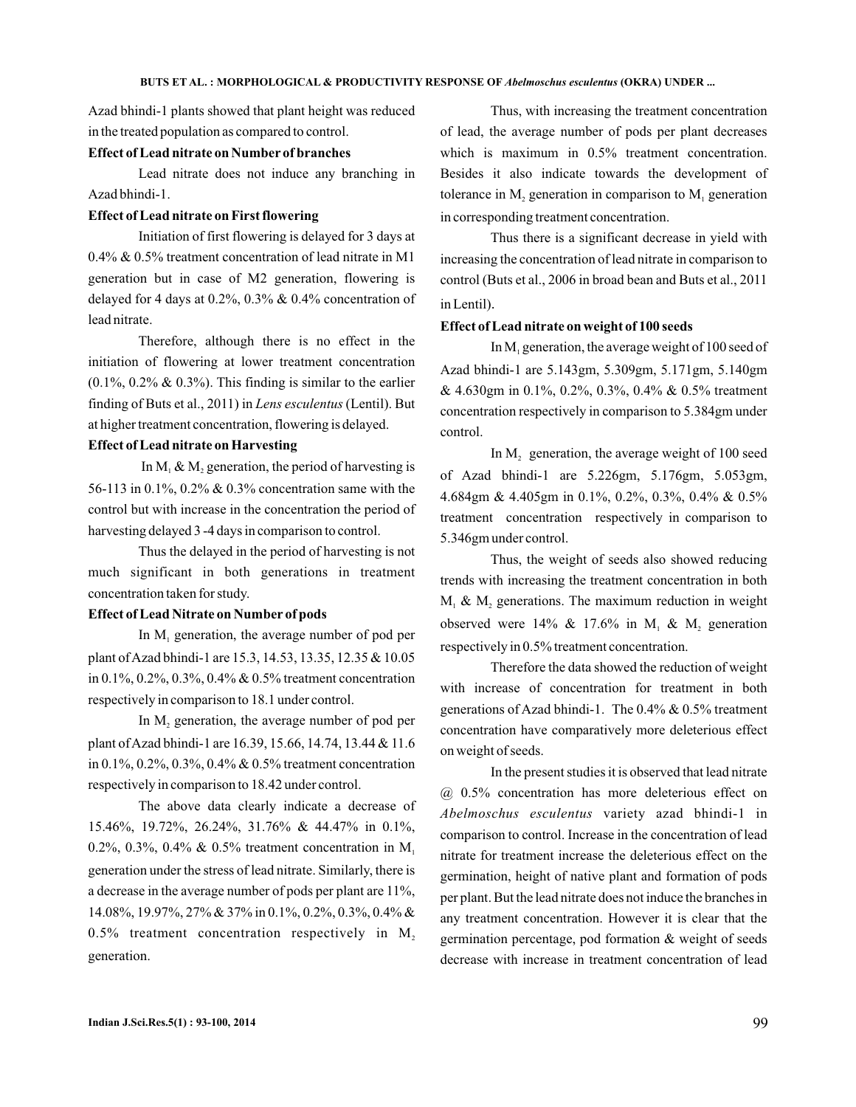Azad bhindi-1 plants showed that plant height was reduced in the treated population as compared to control.

## **Effect of Lead nitrate on Number of branches**

Lead nitrate does not induce any branching in Azad bhindi-1.

# **Effect of Lead nitrate on First flowering**

Initiation of first flowering is delayed for 3 days at 0.4% & 0.5% treatment concentration of lead nitrate in M1 generation but in case of M2 generation, flowering is delayed for 4 days at 0.2%, 0.3% & 0.4% concentration of lead nitrate.

Therefore, although there is no effect in the initiation of flowering at lower treatment concentration  $(0.1\%, 0.2\% \& 0.3\%)$ . This finding is similar to the earlier finding of Buts et al., 2011) in *Lens esculentus* (Lentil). But at higher treatment concentration, flowering is delayed.

# **Effect of Lead nitrate on Harvesting**

In  $M_1 \& M_2$  generation, the period of harvesting is 56-113 in 0.1%, 0.2% & 0.3% concentration same with the control but with increase in the concentration the period of harvesting delayed 3 -4 days in comparison to control.

Thus the delayed in the period of harvesting is not much significant in both generations in treatment concentration taken for study.

#### **Effect of Lead Nitrate on Number of pods**

In  $M<sub>1</sub>$  generation, the average number of pod per plant ofAzad bhindi-1 are 15.3, 14.53, 13.35, 12.35 & 10.05 in 0.1%, 0.2%, 0.3%, 0.4% & 0.5% treatment concentration respectively in comparison to 18.1 under control.

In  $M_2$  generation, the average number of pod per plant ofAzad bhindi-1 are 16.39, 15.66, 14.74, 13.44 & 11.6 in 0.1%, 0.2%, 0.3%, 0.4% & 0.5% treatment concentration respectively in comparison to 18.42 under control.

The above data clearly indicate a decrease of 15.46%, 19.72%, 26.24%, 31.76% & 44.47% in 0.1%, 0.2%, 0.3%, 0.4% & 0.5% treatment concentration in  $M_1$ generation under the stress of lead nitrate. Similarly, there is a decrease in the average number of pods per plant are 11%, 14.08%, 19.97%, 27% & 37% in 0.1%, 0.2%, 0.3%, 0.4% & 0.5% treatment concentration respectively in  $M_2$ generation.

Thus, with increasing the treatment concentration of lead, the average number of pods per plant decreases which is maximum in 0.5% treatment concentration. Besides it also indicate towards the development of tolerance in  $M_2$  generation in comparison to  $M_1$  generation in corresponding treatment concentration.

Thus there is a significant decrease in yield with increasing the concentration of lead nitrate in comparison to control (Buts et al., 2006 in broad bean and Buts et al., 2011 in Lentil) .

#### **Effect of Lead nitrate on weight of 100 seeds**

In  $M<sub>1</sub>$  generation, the average weight of 100 seed of Azad bhindi-1 are 5.143gm, 5.309gm, 5.171gm, 5.140gm & 4.630gm in 0.1%, 0.2%, 0.3%, 0.4% & 0.5% treatment concentration respectively in comparison to 5.384gm under control.

In  $M<sub>2</sub>$  generation, the average weight of 100 seed of Azad bhindi-1 are 5.226gm, 5.176gm, 5.053gm, 4.684gm & 4.405gm in 0.1%, 0.2%, 0.3%, 0.4% & 0.5% treatment concentration respectively in comparison to 5.346gm under control.

Thus, the weight of seeds also showed reducing trends with increasing the treatment concentration in both  $M_1$  &  $M_2$  generations. The maximum reduction in weight observed were 14% & 17.6% in  $M_1$  &  $M_2$  generation respectively in 0.5% treatment concentration.

Therefore the data showed the reduction of weight with increase of concentration for treatment in both generations of Azad bhindi-1. The 0.4% & 0.5% treatment concentration have comparatively more deleterious effect on weight of seeds.

In the present studies it is observed that lead nitrate @ 0.5% concentration has more deleterious effect on Abelmoschus esculentus variety azad bhindi-1 in comparison to control. Increase in the concentration of lead nitrate for treatment increase the deleterious effect on the germination, height of native plant and formation of pods per plant. But the lead nitrate does not induce the branches in any treatment concentration. However it is clear that the germination percentage, pod formation & weight of seeds decrease with increase in treatment concentration of lead